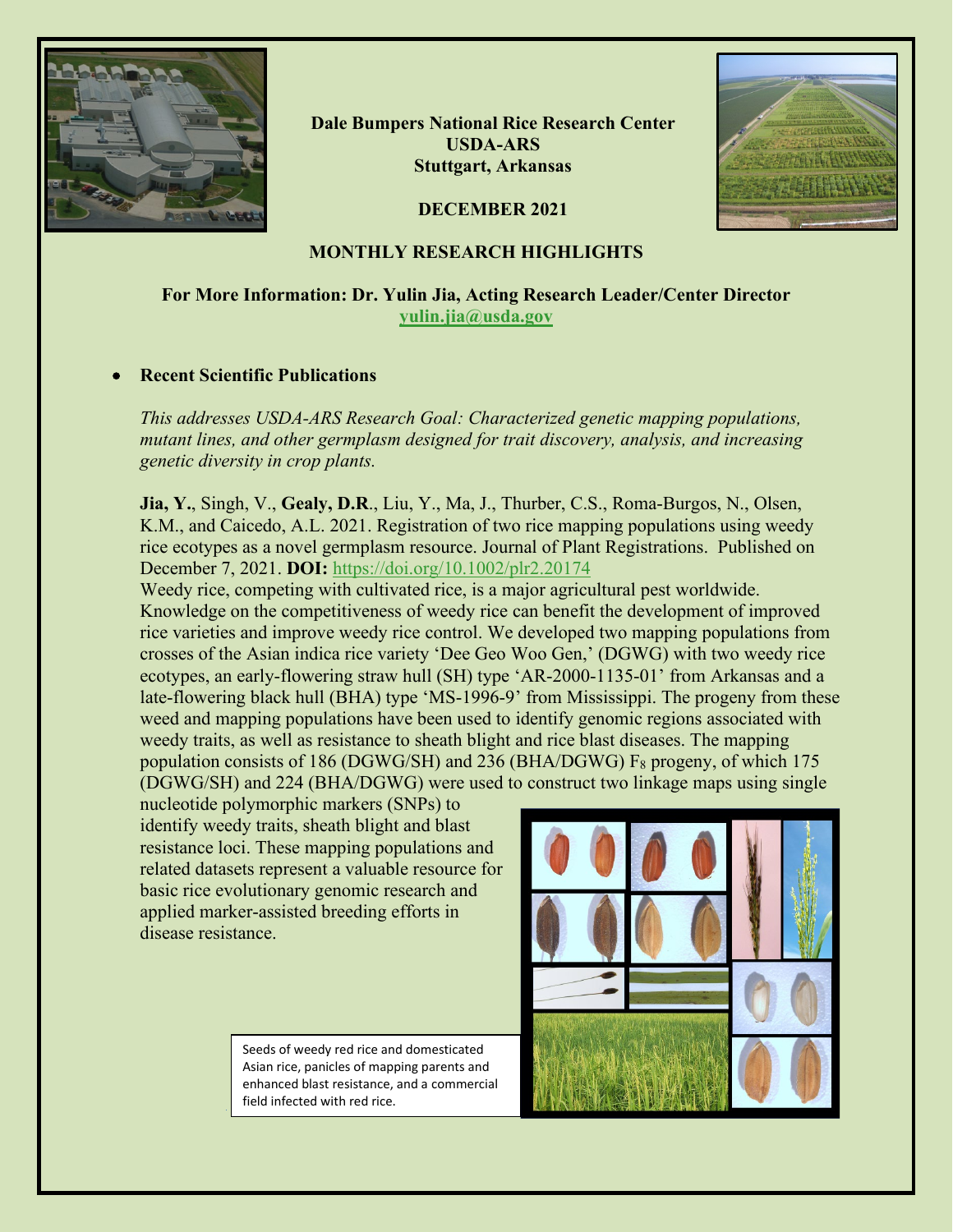

**Dale Bumpers National Rice Research Center USDA-ARS Stuttgart, Arkansas**



## **DECEMBER 2021**

# **MONTHLY RESEARCH HIGHLIGHTS**

# **For More Information: Dr. Yulin Jia, Acting Research Leader/Center Director [yulin.jia@usda.gov](mailto:yulin.jia@usda.gov)**

### • **Recent Scientific Publications**

*This addresses USDA-ARS Research Goal: Characterized genetic mapping populations, mutant lines, and other germplasm designed for trait discovery, analysis, and increasing genetic diversity in crop plants.*

**Jia, Y.**, Singh, V., **Gealy, D.R**., Liu, Y., Ma, J., Thurber, C.S., Roma-Burgos, N., Olsen, K.M., and Caicedo, A.L. 2021. Registration of two rice mapping populations using weedy rice ecotypes as a novel germplasm resource. Journal of Plant Registrations. Published on December 7, 2021. **DOI:** <https://doi.org/10.1002/plr2.20174>

Weedy rice, competing with cultivated rice, is a major agricultural pest worldwide. Knowledge on the competitiveness of weedy rice can benefit the development of improved rice varieties and improve weedy rice control. We developed two mapping populations from crosses of the Asian indica rice variety 'Dee Geo Woo Gen,' (DGWG) with two weedy rice ecotypes, an early-flowering straw hull (SH) type 'AR-2000-1135-01' from Arkansas and a late-flowering black hull (BHA) type 'MS-1996-9' from Mississippi. The progeny from these weed and mapping populations have been used to identify genomic regions associated with weedy traits, as well as resistance to sheath blight and rice blast diseases. The mapping population consists of 186 (DGWG/SH) and 236 (BHA/DGWG)  $F_8$  progeny, of which 175 (DGWG/SH) and 224 (BHA/DGWG) were used to construct two linkage maps using single

nucleotide polymorphic markers (SNPs) to identify weedy traits, sheath blight and blast resistance loci. These mapping populations and related datasets represent a valuable resource for basic rice evolutionary genomic research and applied marker-assisted breeding efforts in disease resistance.

> Seeds of weedy red rice and domesticated Asian rice, panicles of mapping parents and enhanced blast resistance, and a commercial field infected with red rice.

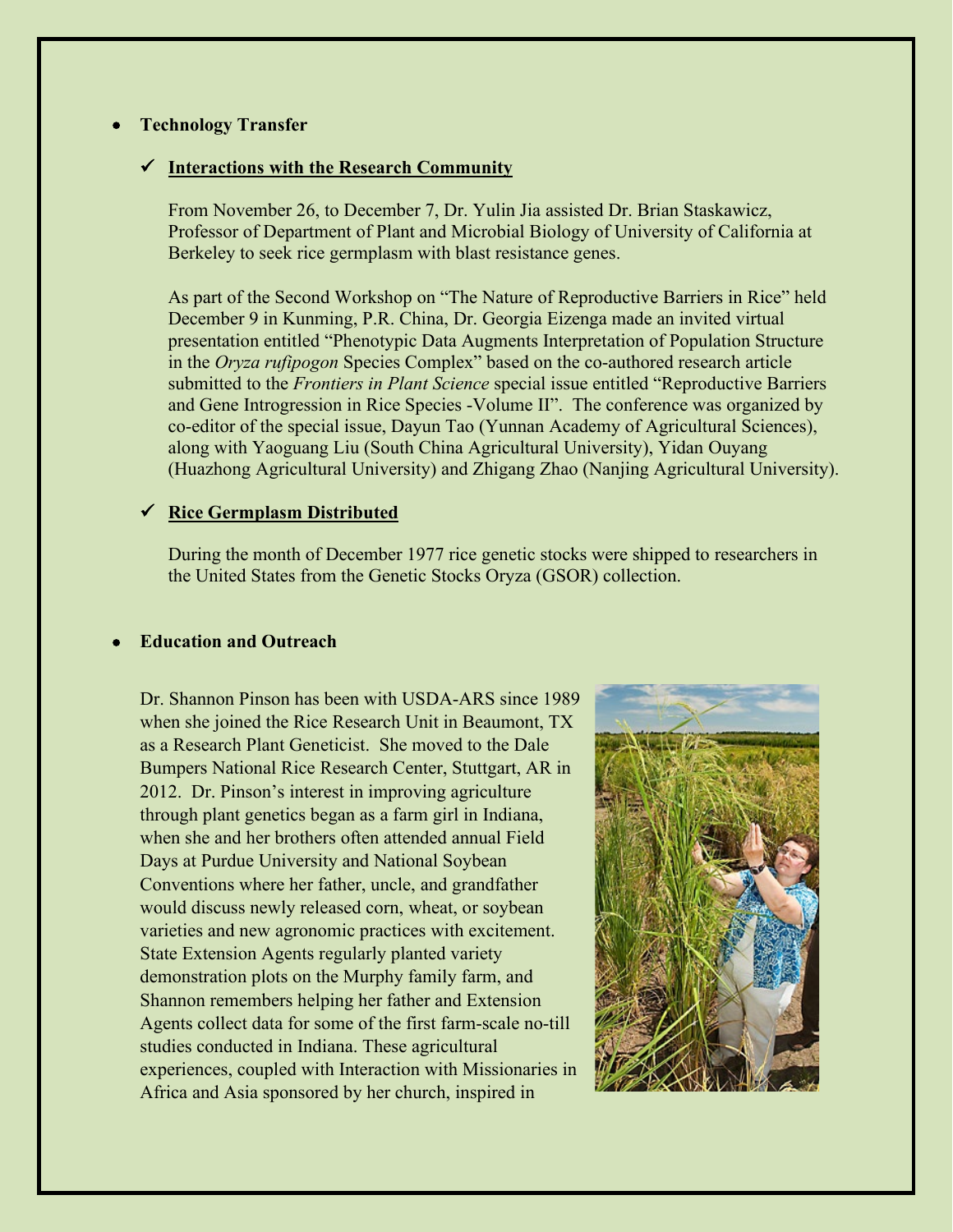### • **Technology Transfer**

#### **Interactions with the Research Community**

From November 26, to December 7, Dr. Yulin Jia assisted Dr. Brian Staskawicz, Professor of Department of Plant and Microbial Biology of University of California at Berkeley to seek rice germplasm with blast resistance genes.

As part of the Second Workshop on "The Nature of Reproductive Barriers in Rice" held December 9 in Kunming, P.R. China, Dr. Georgia Eizenga made an invited virtual presentation entitled "Phenotypic Data Augments Interpretation of Population Structure in the *Oryza rufipogon* Species Complex" based on the co-authored research article submitted to the *Frontiers in Plant Science* special issue entitled "Reproductive Barriers and Gene Introgression in Rice Species -Volume II". The conference was organized by co-editor of the special issue, Dayun Tao (Yunnan Academy of Agricultural Sciences), along with Yaoguang Liu (South China Agricultural University), Yidan Ouyang (Huazhong Agricultural University) and Zhigang Zhao (Nanjing Agricultural University).

#### **Rice Germplasm Distributed**

During the month of December 1977 rice genetic stocks were shipped to researchers in the United States from the Genetic Stocks Oryza (GSOR) collection.

## • **Education and Outreach**

Dr. Shannon Pinson has been with USDA-ARS since 1989 when she joined the Rice Research Unit in Beaumont, TX as a Research Plant Geneticist. She moved to the Dale Bumpers National Rice Research Center, Stuttgart, AR in 2012. Dr. Pinson's interest in improving agriculture through plant genetics began as a farm girl in Indiana, when she and her brothers often attended annual Field Days at Purdue University and National Soybean Conventions where her father, uncle, and grandfather would discuss newly released corn, wheat, or soybean varieties and new agronomic practices with excitement. State Extension Agents regularly planted variety demonstration plots on the Murphy family farm, and Shannon remembers helping her father and Extension Agents collect data for some of the first farm-scale no-till studies conducted in Indiana. These agricultural experiences, coupled with Interaction with Missionaries in Africa and Asia sponsored by her church, inspired in

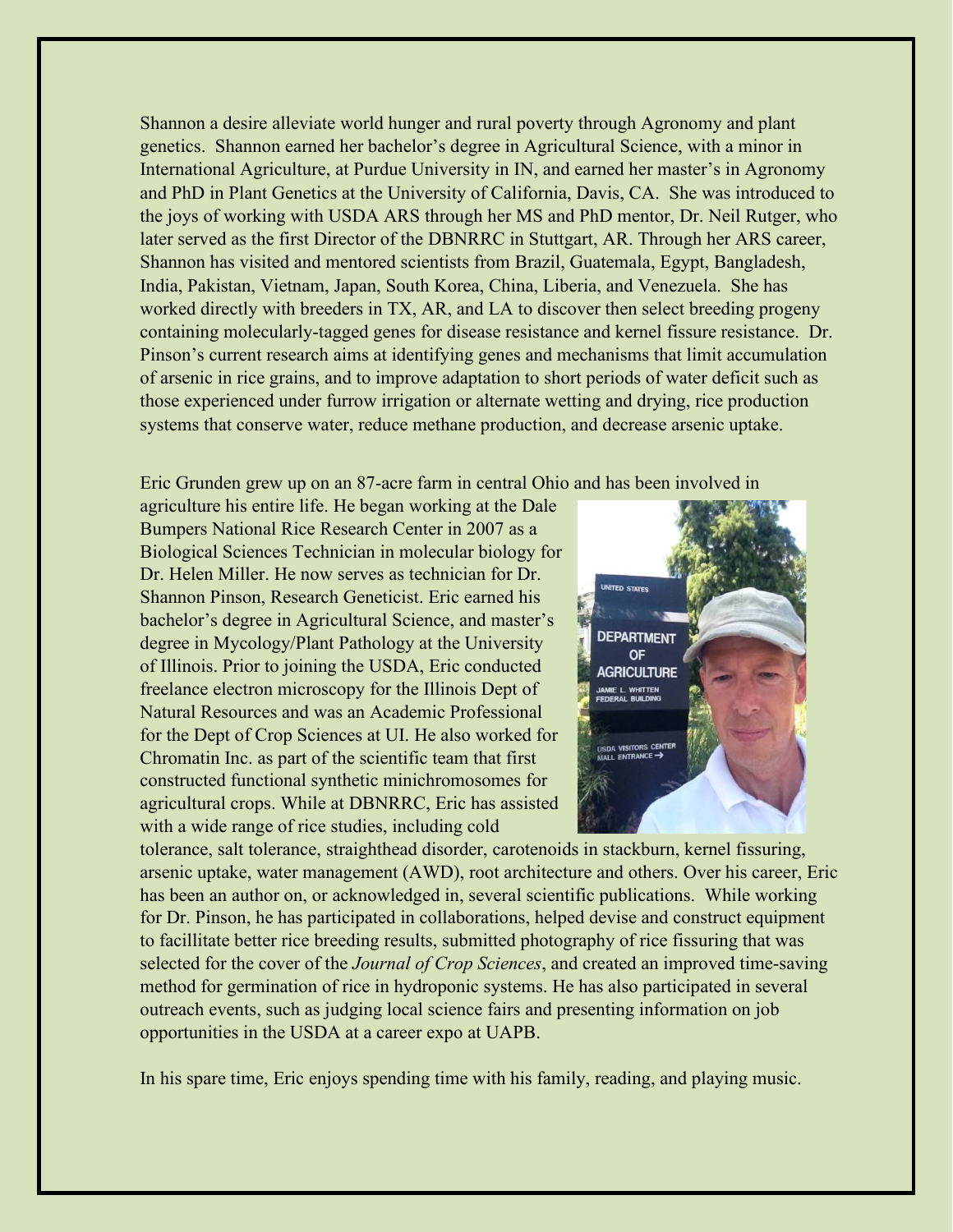Shannon a desire alleviate world hunger and rural poverty through Agronomy and plant genetics. Shannon earned her bachelor's degree in Agricultural Science, with a minor in International Agriculture, at Purdue University in IN, and earned her master's in Agronomy and PhD in Plant Genetics at the University of California, Davis, CA. She was introduced to the joys of working with USDA ARS through her MS and PhD mentor, Dr. Neil Rutger, who later served as the first Director of the DBNRRC in Stuttgart, AR. Through her ARS career, Shannon has visited and mentored scientists from Brazil, Guatemala, Egypt, Bangladesh, India, Pakistan, Vietnam, Japan, South Korea, China, Liberia, and Venezuela. She has worked directly with breeders in TX, AR, and LA to discover then select breeding progeny containing molecularly-tagged genes for disease resistance and kernel fissure resistance. Dr. Pinson's current research aims at identifying genes and mechanisms that limit accumulation of arsenic in rice grains, and to improve adaptation to short periods of water deficit such as those experienced under furrow irrigation or alternate wetting and drying, rice production systems that conserve water, reduce methane production, and decrease arsenic uptake.

Eric Grunden grew up on an 87-acre farm in central Ohio and has been involved in

agriculture his entire life. He began working at the Dale Bumpers National Rice Research Center in 2007 as a Biological Sciences Technician in molecular biology for Dr. Helen Miller. He now serves as technician for Dr. Shannon Pinson, Research Geneticist. Eric earned his bachelor's degree in Agricultural Science, and master's degree in Mycology/Plant Pathology at the University of Illinois. Prior to joining the USDA, Eric conducted freelance electron microscopy for the Illinois Dept of Natural Resources and was an Academic Professional for the Dept of Crop Sciences at UI. He also worked for Chromatin Inc. as part of the scientific team that first constructed functional synthetic minichromosomes for agricultural crops. While at DBNRRC, Eric has assisted with a wide range of rice studies, including cold



tolerance, salt tolerance, straighthead disorder, carotenoids in stackburn, kernel fissuring, arsenic uptake, water management (AWD), root architecture and others. Over his career, Eric has been an author on, or acknowledged in, several scientific publications. While working for Dr. Pinson, he has participated in collaborations, helped devise and construct equipment to facillitate better rice breeding results, submitted photography of rice fissuring that was selected for the cover of the *Journal of Crop Sciences*, and created an improved time-saving method for germination of rice in hydroponic systems. He has also participated in several outreach events, such as judging local science fairs and presenting information on job opportunities in the USDA at a career expo at UAPB.

In his spare time, Eric enjoys spending time with his family, reading, and playing music.